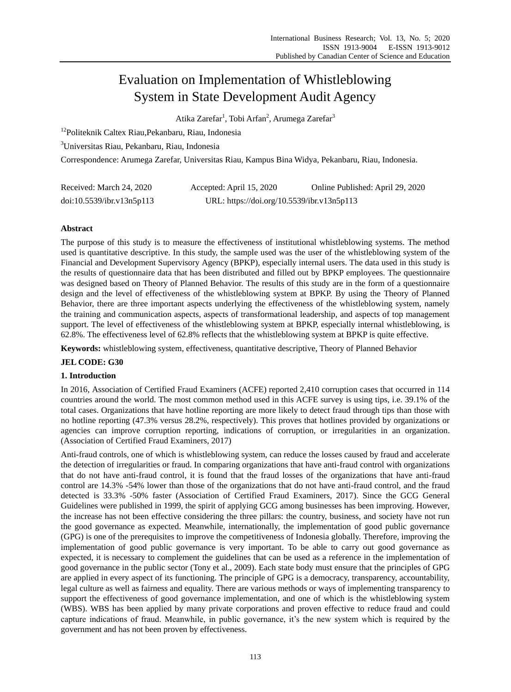# Evaluation on Implementation of Whistleblowing System in State Development Audit Agency

Atika Zarefar<sup>1</sup>, Tobi Arfan<sup>2</sup>, Arumega Zarefar<sup>3</sup>

<sup>12</sup>Politeknik Caltex Riau,Pekanbaru, Riau, Indonesia

<sup>3</sup>Universitas Riau, Pekanbaru, Riau, Indonesia

Correspondence: Arumega Zarefar, Universitas Riau, Kampus Bina Widya, Pekanbaru, Riau, Indonesia.

| Received: March 24, 2020  | Accepted: April 15, 2020                   | Online Published: April 29, 2020 |
|---------------------------|--------------------------------------------|----------------------------------|
| doi:10.5539/ibr.v13n5p113 | URL: https://doi.org/10.5539/ibr.v13n5p113 |                                  |

# **Abstract**

The purpose of this study is to measure the effectiveness of institutional whistleblowing systems. The method used is quantitative descriptive. In this study, the sample used was the user of the whistleblowing system of the Financial and Development Supervisory Agency (BPKP), especially internal users. The data used in this study is the results of questionnaire data that has been distributed and filled out by BPKP employees. The questionnaire was designed based on Theory of Planned Behavior. The results of this study are in the form of a questionnaire design and the level of effectiveness of the whistleblowing system at BPKP. By using the Theory of Planned Behavior, there are three important aspects underlying the effectiveness of the whistleblowing system, namely the training and communication aspects, aspects of transformational leadership, and aspects of top management support. The level of effectiveness of the whistleblowing system at BPKP, especially internal whistleblowing, is 62.8%. The effectiveness level of 62.8% reflects that the whistleblowing system at BPKP is quite effective.

**Keywords:** whistleblowing system, effectiveness, quantitative descriptive, Theory of Planned Behavior

# **JEL CODE: G30**

## **1. Introduction**

In 2016, Association of Certified Fraud Examiners (ACFE) reported 2,410 corruption cases that occurred in 114 countries around the world. The most common method used in this ACFE survey is using tips, i.e. 39.1% of the total cases. Organizations that have hotline reporting are more likely to detect fraud through tips than those with no hotline reporting (47.3% versus 28.2%, respectively). This proves that hotlines provided by organizations or agencies can improve corruption reporting, indications of corruption, or irregularities in an organization. (Association of Certified Fraud Examiners, 2017)

Anti-fraud controls, one of which is whistleblowing system, can reduce the losses caused by fraud and accelerate the detection of irregularities or fraud. In comparing organizations that have anti-fraud control with organizations that do not have anti-fraud control, it is found that the fraud losses of the organizations that have anti-fraud control are 14.3% -54% lower than those of the organizations that do not have anti-fraud control, and the fraud detected is 33.3% -50% faster (Association of Certified Fraud Examiners, 2017). Since the GCG General Guidelines were published in 1999, the spirit of applying GCG among businesses has been improving. However, the increase has not been effective considering the three pillars: the country, business, and society have not run the good governance as expected. Meanwhile, internationally, the implementation of good public governance (GPG) is one of the prerequisites to improve the competitiveness of Indonesia globally. Therefore, improving the implementation of good public governance is very important. To be able to carry out good governance as expected, it is necessary to complement the guidelines that can be used as a reference in the implementation of good governance in the public sector (Tony et al., 2009). Each state body must ensure that the principles of GPG are applied in every aspect of its functioning. The principle of GPG is a democracy, transparency, accountability, legal culture as well as fairness and equality. There are various methods or ways of implementing transparency to support the effectiveness of good governance implementation, and one of which is the whistleblowing system (WBS). WBS has been applied by many private corporations and proven effective to reduce fraud and could capture indications of fraud. Meanwhile, in public governance, it's the new system which is required by the government and has not been proven by effectiveness.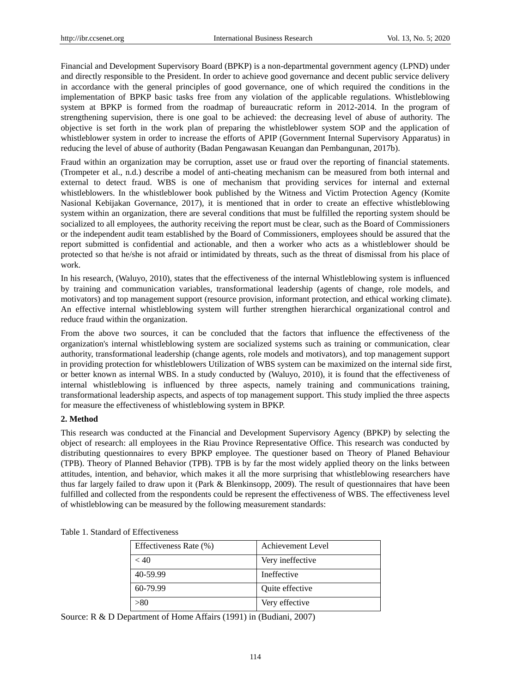Financial and Development Supervisory Board (BPKP) is a non-departmental government agency (LPND) under and directly responsible to the President. In order to achieve good governance and decent public service delivery in accordance with the general principles of good governance, one of which required the conditions in the implementation of BPKP basic tasks free from any violation of the applicable regulations. Whistleblowing system at BPKP is formed from the roadmap of bureaucratic reform in 2012-2014. In the program of strengthening supervision, there is one goal to be achieved: the decreasing level of abuse of authority. The objective is set forth in the work plan of preparing the whistleblower system SOP and the application of whistleblower system in order to increase the efforts of APIP (Government Internal Supervisory Apparatus) in reducing the level of abuse of authority (Badan Pengawasan Keuangan dan Pembangunan, 2017b).

Fraud within an organization may be corruption, asset use or fraud over the reporting of financial statements. (Trompeter et al., n.d.) describe a model of anti-cheating mechanism can be measured from both internal and external to detect fraud. WBS is one of mechanism that providing services for internal and external whistleblowers. In the whistleblower book published by the Witness and Victim Protection Agency (Komite Nasional Kebijakan Governance, 2017), it is mentioned that in order to create an effective whistleblowing system within an organization, there are several conditions that must be fulfilled the reporting system should be socialized to all employees, the authority receiving the report must be clear, such as the Board of Commissioners or the independent audit team established by the Board of Commissioners, employees should be assured that the report submitted is confidential and actionable, and then a worker who acts as a whistleblower should be protected so that he/she is not afraid or intimidated by threats, such as the threat of dismissal from his place of work.

In his research, (Waluyo, 2010), states that the effectiveness of the internal Whistleblowing system is influenced by training and communication variables, transformational leadership (agents of change, role models, and motivators) and top management support (resource provision, informant protection, and ethical working climate). An effective internal whistleblowing system will further strengthen hierarchical organizational control and reduce fraud within the organization.

From the above two sources, it can be concluded that the factors that influence the effectiveness of the organization's internal whistleblowing system are socialized systems such as training or communication, clear authority, transformational leadership (change agents, role models and motivators), and top management support in providing protection for whistleblowers Utilization of WBS system can be maximized on the internal side first, or better known as internal WBS. In a study conducted by (Waluyo, 2010), it is found that the effectiveness of internal whistleblowing is influenced by three aspects, namely training and communications training, transformational leadership aspects, and aspects of top management support. This study implied the three aspects for measure the effectiveness of whistleblowing system in BPKP.

## **2. Method**

This research was conducted at the Financial and Development Supervisory Agency (BPKP) by selecting the object of research: all employees in the Riau Province Representative Office. This research was conducted by distributing questionnaires to every BPKP employee. The questioner based on Theory of Planed Behaviour (TPB). Theory of Planned Behavior (TPB). TPB is by far the most widely applied theory on the links between attitudes, intention, and behavior, which makes it all the more surprising that whistleblowing researchers have thus far largely failed to draw upon it (Park & Blenkinsopp, 2009). The result of questionnaires that have been fulfilled and collected from the respondents could be represent the effectiveness of WBS. The effectiveness level of whistleblowing can be measured by the following measurement standards:

| Effectiveness Rate (%) | Achievement Level |
|------------------------|-------------------|
| $~<$ 40                | Very ineffective  |
| 40-59.99               | Ineffective       |
| 60-79.99               | Quite effective   |
| > 80                   | Very effective    |

Table 1. Standard of Effectiveness

Source: R & D Department of Home Affairs (1991) in (Budiani, 2007)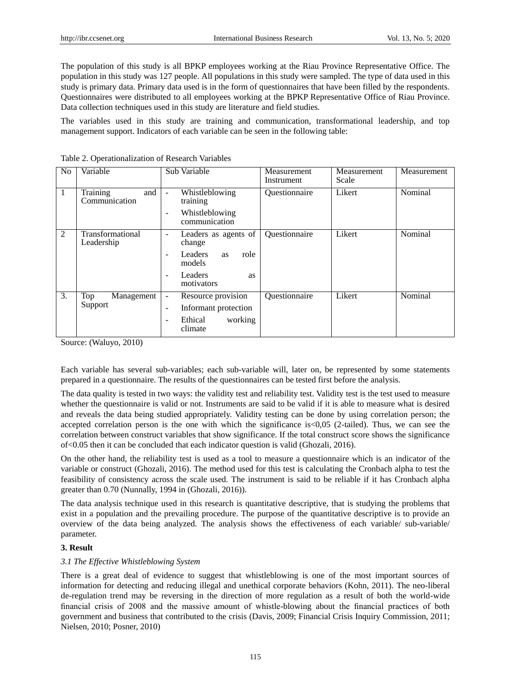The population of this study is all BPKP employees working at the Riau Province Representative Office. The population in this study was 127 people. All populations in this study were sampled. The type of data used in this study is primary data. Primary data used is in the form of questionnaires that have been filled by the respondents. Questionnaires were distributed to all employees working at the BPKP Representative Office of Riau Province. Data collection techniques used in this study are literature and field studies.

The variables used in this study are training and communication, transformational leadership, and top management support. Indicators of each variable can be seen in the following table:

| No           | Variable                         | Sub Variable                                                       | <b>Measurement</b><br>Instrument | Measurement<br>Scale | Measurement |
|--------------|----------------------------------|--------------------------------------------------------------------|----------------------------------|----------------------|-------------|
| $\mathbf{1}$ | and<br>Training<br>Communication | Whistleblowing<br>training                                         | Questionnaire                    | Likert               | Nominal     |
|              |                                  | Whistleblowing<br>$\overline{\phantom{a}}$<br>communication        |                                  |                      |             |
| 2            | Transformational<br>Leadership   | Leaders as agents of<br>-<br>change                                | Questionnaire                    | Likert               | Nominal     |
|              |                                  | Leaders<br>role<br><b>as</b><br>$\overline{\phantom{0}}$<br>models |                                  |                      |             |
|              |                                  | Leaders<br><b>as</b><br>$\qquad \qquad \blacksquare$<br>motivators |                                  |                      |             |
| 3.           | Top<br>Management                | Resource provision                                                 | Questionnaire                    | Likert               | Nominal     |
|              | Support                          | Informant protection<br>$\qquad \qquad$                            |                                  |                      |             |
|              |                                  | Ethical<br>working<br>$\qquad \qquad$<br>climate                   |                                  |                      |             |

Table 2. Operationalization of Research Variables

Source: (Waluyo, 2010)

Each variable has several sub-variables; each sub-variable will, later on, be represented by some statements prepared in a questionnaire. The results of the questionnaires can be tested first before the analysis.

The data quality is tested in two ways: the validity test and reliability test. Validity test is the test used to measure whether the questionnaire is valid or not. Instruments are said to be valid if it is able to measure what is desired and reveals the data being studied appropriately. Validity testing can be done by using correlation person; the accepted correlation person is the one with which the significance is<0,05 (2-tailed). Thus, we can see the correlation between construct variables that show significance. If the total construct score shows the significance of<0.05 then it can be concluded that each indicator question is valid (Ghozali, 2016).

On the other hand, the reliability test is used as a tool to measure a questionnaire which is an indicator of the variable or construct (Ghozali, 2016). The method used for this test is calculating the Cronbach alpha to test the feasibility of consistency across the scale used. The instrument is said to be reliable if it has Cronbach alpha greater than 0.70 (Nunnally, 1994 in (Ghozali, 2016)).

The data analysis technique used in this research is quantitative descriptive, that is studying the problems that exist in a population and the prevailing procedure. The purpose of the quantitative descriptive is to provide an overview of the data being analyzed. The analysis shows the effectiveness of each variable/ sub-variable/ parameter.

## **3. Result**

## *3.1 The Effective Whistleblowing System*

There is a great deal of evidence to suggest that whistleblowing is one of the most important sources of information for detecting and reducing illegal and unethical corporate behaviors (Kohn, 2011). The neo-liberal de-regulation trend may be reversing in the direction of more regulation as a result of both the world-wide financial crisis of 2008 and the massive amount of whistle-blowing about the financial practices of both government and business that contributed to the crisis (Davis, 2009; Financial Crisis Inquiry Commission, 2011; Nielsen, 2010; Posner, 2010)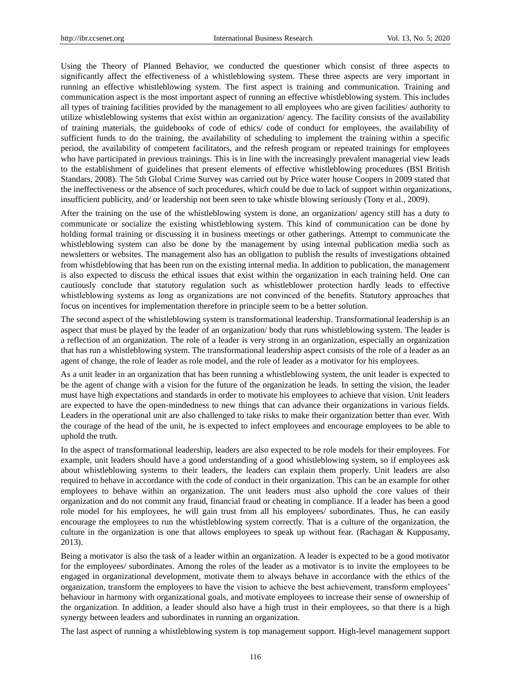Using the Theory of Planned Behavior, we conducted the questioner which consist of three aspects to significantly affect the effectiveness of a whistleblowing system. These three aspects are very important in running an effective whistleblowing system. The first aspect is training and communication. Training and communication aspect is the most important aspect of running an effective whistleblowing system. This includes all types of training facilities provided by the management to all employees who are given facilities/ authority to utilize whistleblowing systems that exist within an organization/ agency. The facility consists of the availability of training materials, the guidebooks of code of ethics/ code of conduct for employees, the availability of sufficient funds to do the training, the availability of scheduling to implement the training within a specific period, the availability of competent facilitators, and the refresh program or repeated trainings for employees who have participated in previous trainings. This is in line with the increasingly prevalent managerial view leads to the establishment of guidelines that present elements of effective whistleblowing procedures (BSI British Standars, 2008). The 5th Global Crime Survey was carried out by Price water house Coopers in 2009 stated that the ineffectiveness or the absence of such procedures, which could be due to lack of support within organizations, insufficient publicity, and/ or leadership not been seen to take whistle blowing seriously (Tony et al., 2009).

After the training on the use of the whistleblowing system is done, an organization/ agency still has a duty to communicate or socialize the existing whistleblowing system. This kind of communication can be done by holding formal training or discussing it in business meetings or other gatherings. Attempt to communicate the whistleblowing system can also be done by the management by using internal publication media such as newsletters or websites. The management also has an obligation to publish the results of investigations obtained from whistleblowing that has been run on the existing internal media. In addition to publication, the management is also expected to discuss the ethical issues that exist within the organization in each training held. One can cautiously conclude that statutory regulation such as whistleblower protection hardly leads to effective whistleblowing systems as long as organizations are not convinced of the benefits. Statutory approaches that focus on incentives for implementation therefore in principle seem to be a better solution.

The second aspect of the whistleblowing system is transformational leadership. Transformational leadership is an aspect that must be played by the leader of an organization/ body that runs whistleblowing system. The leader is a reflection of an organization. The role of a leader is very strong in an organization, especially an organization that has run a whistleblowing system. The transformational leadership aspect consists of the role of a leader as an agent of change, the role of leader as role model, and the role of leader as a motivator for his employees.

As a unit leader in an organization that has been running a whistleblowing system, the unit leader is expected to be the agent of change with a vision for the future of the organization he leads. In setting the vision, the leader must have high expectations and standards in order to motivate his employees to achieve that vision. Unit leaders are expected to have the open-mindedness to new things that can advance their organizations in various fields. Leaders in the operational unit are also challenged to take risks to make their organization better than ever. With the courage of the head of the unit, he is expected to infect employees and encourage employees to be able to uphold the truth.

In the aspect of transformational leadership, leaders are also expected to be role models for their employees. For example, unit leaders should have a good understanding of a good whistleblowing system, so if employees ask about whistleblowing systems to their leaders, the leaders can explain them properly. Unit leaders are also required to behave in accordance with the code of conduct in their organization. This can be an example for other employees to behave within an organization. The unit leaders must also uphold the core values of their organization and do not commit any fraud, financial fraud or cheating in compliance. If a leader has been a good role model for his employees, he will gain trust from all his employees/ subordinates. Thus, he can easily encourage the employees to run the whistleblowing system correctly. That is a culture of the organization, the culture in the organization is one that allows employees to speak up without fear. (Rachagan & Kuppusamy, 2013).

Being a motivator is also the task of a leader within an organization. A leader is expected to be a good motivator for the employees/ subordinates. Among the roles of the leader as a motivator is to invite the employees to be engaged in organizational development, motivate them to always behave in accordance with the ethics of the organization, transform the employees to have the vision to achieve the best achievement, transform employees' behaviour in harmony with organizational goals, and motivate employees to increase their sense of ownership of the organization. In addition, a leader should also have a high trust in their employees, so that there is a high synergy between leaders and subordinates in running an organization.

The last aspect of running a whistleblowing system is top management support. High-level management support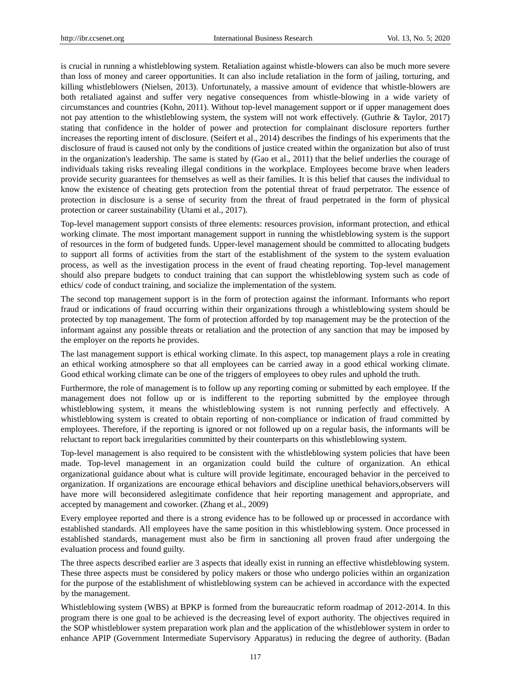is crucial in running a whistleblowing system. Retaliation against whistle-blowers can also be much more severe than loss of money and career opportunities. It can also include retaliation in the form of jailing, torturing, and killing whistleblowers (Nielsen, 2013). Unfortunately, a massive amount of evidence that whistle-blowers are both retaliated against and suffer very negative consequences from whistle-blowing in a wide variety of circumstances and countries (Kohn, 2011). Without top-level management support or if upper management does not pay attention to the whistleblowing system, the system will not work effectively. (Guthrie & Taylor, 2017) stating that confidence in the holder of power and protection for complainant disclosure reporters further increases the reporting intent of disclosure. (Seifert et al., 2014) describes the findings of his experiments that the disclosure of fraud is caused not only by the conditions of justice created within the organization but also of trust in the organization's leadership. The same is stated by (Gao et al., 2011) that the belief underlies the courage of individuals taking risks revealing illegal conditions in the workplace. Employees become brave when leaders provide security guarantees for themselves as well as their families. It is this belief that causes the individual to know the existence of cheating gets protection from the potential threat of fraud perpetrator. The essence of protection in disclosure is a sense of security from the threat of fraud perpetrated in the form of physical protection or career sustainability (Utami et al., 2017).

Top-level management support consists of three elements: resources provision, informant protection, and ethical working climate. The most important management support in running the whistleblowing system is the support of resources in the form of budgeted funds. Upper-level management should be committed to allocating budgets to support all forms of activities from the start of the establishment of the system to the system evaluation process, as well as the investigation process in the event of fraud cheating reporting. Top-level management should also prepare budgets to conduct training that can support the whistleblowing system such as code of ethics/ code of conduct training, and socialize the implementation of the system.

The second top management support is in the form of protection against the informant. Informants who report fraud or indications of fraud occurring within their organizations through a whistleblowing system should be protected by top management. The form of protection afforded by top management may be the protection of the informant against any possible threats or retaliation and the protection of any sanction that may be imposed by the employer on the reports he provides.

The last management support is ethical working climate. In this aspect, top management plays a role in creating an ethical working atmosphere so that all employees can be carried away in a good ethical working climate. Good ethical working climate can be one of the triggers of employees to obey rules and uphold the truth.

Furthermore, the role of management is to follow up any reporting coming or submitted by each employee. If the management does not follow up or is indifferent to the reporting submitted by the employee through whistleblowing system, it means the whistleblowing system is not running perfectly and effectively. A whistleblowing system is created to obtain reporting of non-compliance or indication of fraud committed by employees. Therefore, if the reporting is ignored or not followed up on a regular basis, the informants will be reluctant to report back irregularities committed by their counterparts on this whistleblowing system.

Top-level management is also required to be consistent with the whistleblowing system policies that have been made. Top-level management in an organization could build the culture of organization. An ethical organizational guidance about what is culture will provide legitimate, encouraged behavior in the perceived to organization. If organizations are encourage ethical behaviors and discipline unethical behaviors,observers will have more will beconsidered aslegitimate confidence that heir reporting management and appropriate, and accepted by management and coworker. (Zhang et al., 2009)

Every employee reported and there is a strong evidence has to be followed up or processed in accordance with established standards. All employees have the same position in this whistleblowing system. Once processed in established standards, management must also be firm in sanctioning all proven fraud after undergoing the evaluation process and found guilty.

The three aspects described earlier are 3 aspects that ideally exist in running an effective whistleblowing system. These three aspects must be considered by policy makers or those who undergo policies within an organization for the purpose of the establishment of whistleblowing system can be achieved in accordance with the expected by the management.

Whistleblowing system (WBS) at BPKP is formed from the bureaucratic reform roadmap of 2012-2014. In this program there is one goal to be achieved is the decreasing level of export authority. The objectives required in the SOP whistleblower system preparation work plan and the application of the whistleblower system in order to enhance APIP (Government Intermediate Supervisory Apparatus) in reducing the degree of authority. (Badan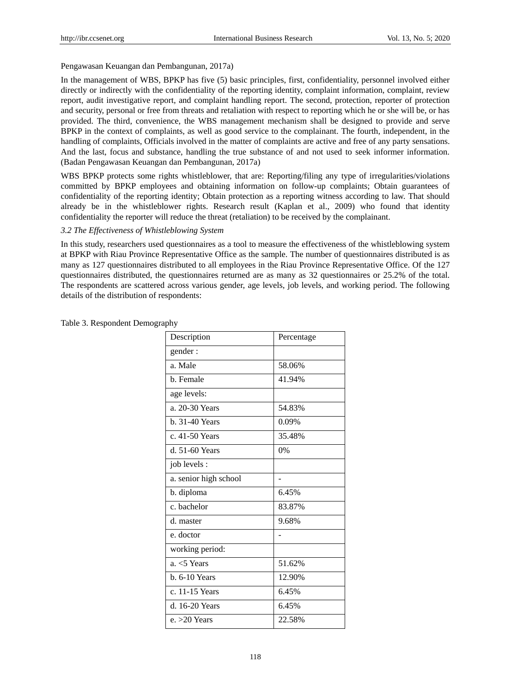Pengawasan Keuangan dan Pembangunan, 2017a)

In the management of WBS, BPKP has five (5) basic principles, first, confidentiality, personnel involved either directly or indirectly with the confidentiality of the reporting identity, complaint information, complaint, review report, audit investigative report, and complaint handling report. The second, protection, reporter of protection and security, personal or free from threats and retaliation with respect to reporting which he or she will be, or has provided. The third, convenience, the WBS management mechanism shall be designed to provide and serve BPKP in the context of complaints, as well as good service to the complainant. The fourth, independent, in the handling of complaints, Officials involved in the matter of complaints are active and free of any party sensations. And the last, focus and substance, handling the true substance of and not used to seek informer information. (Badan Pengawasan Keuangan dan Pembangunan, 2017a)

WBS BPKP protects some rights whistleblower, that are: Reporting/filing any type of irregularities/violations committed by BPKP employees and obtaining information on follow-up complaints; Obtain guarantees of confidentiality of the reporting identity; Obtain protection as a reporting witness according to law. That should already be in the whistleblower rights. Research result (Kaplan et al., 2009) who found that identity confidentiality the reporter will reduce the threat (retaliation) to be received by the complainant.

#### *3.2 The Effectiveness of Whistleblowing System*

In this study, researchers used questionnaires as a tool to measure the effectiveness of the whistleblowing system at BPKP with Riau Province Representative Office as the sample. The number of questionnaires distributed is as many as 127 questionnaires distributed to all employees in the Riau Province Representative Office. Of the 127 questionnaires distributed, the questionnaires returned are as many as 32 questionnaires or 25.2% of the total. The respondents are scattered across various gender, age levels, job levels, and working period. The following details of the distribution of respondents:

|  |  | Table 3. Respondent Demography |
|--|--|--------------------------------|
|--|--|--------------------------------|

| Description           | Percentage |
|-----------------------|------------|
| gender:               |            |
| a. Male               | 58.06%     |
| b. Female             | 41.94%     |
| age levels:           |            |
| a. 20-30 Years        | 54.83%     |
| b. 31-40 Years        | 0.09%      |
| c. 41-50 Years        | 35.48%     |
| d. 51-60 Years        | 0%         |
| job levels :          |            |
| a. senior high school |            |
| b. diploma            | 6.45%      |
| c. bachelor           | 83.87%     |
| d. master             | 9.68%      |
| e. doctor             |            |
| working period:       |            |
| $a. < 5$ Years        | 51.62%     |
| b. 6-10 Years         | 12.90%     |
| c. 11-15 Years        | 6.45%      |
| d. 16-20 Years        | 6.45%      |
| e. $>20$ Years        | 22.58%     |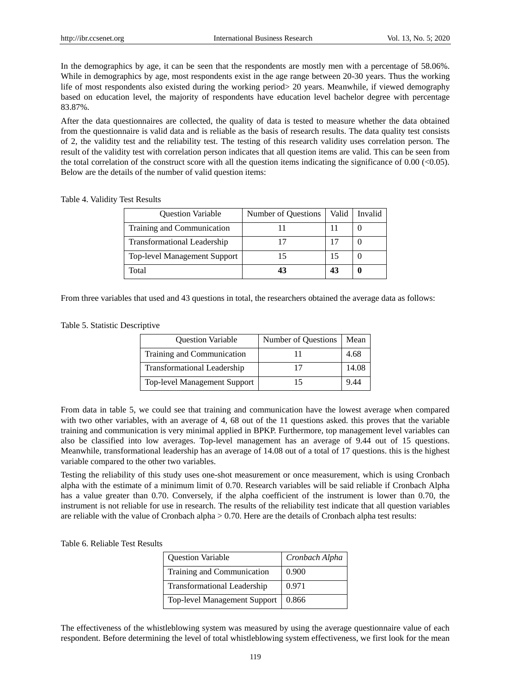In the demographics by age, it can be seen that the respondents are mostly men with a percentage of 58.06%. While in demographics by age, most respondents exist in the age range between 20-30 years. Thus the working life of most respondents also existed during the working period> 20 years. Meanwhile, if viewed demography based on education level, the majority of respondents have education level bachelor degree with percentage 83.87%.

After the data questionnaires are collected, the quality of data is tested to measure whether the data obtained from the questionnaire is valid data and is reliable as the basis of research results. The data quality test consists of 2, the validity test and the reliability test. The testing of this research validity uses correlation person. The result of the validity test with correlation person indicates that all question items are valid. This can be seen from the total correlation of the construct score with all the question items indicating the significance of  $0.00$  ( $< 0.05$ ). Below are the details of the number of valid question items:

| Table 4. Validity Test Results |  |
|--------------------------------|--|
|--------------------------------|--|

| <b>Question Variable</b>            | Number of Questions |    | Valid   Invalid |
|-------------------------------------|---------------------|----|-----------------|
| Training and Communication          |                     |    |                 |
| <b>Transformational Leadership</b>  |                     |    |                 |
| <b>Top-level Management Support</b> |                     |    |                 |
| Total                               | 43                  | 43 | 0               |

From three variables that used and 43 questions in total, the researchers obtained the average data as follows:

|  |  | Table 5. Statistic Descriptive |  |  |
|--|--|--------------------------------|--|--|
|--|--|--------------------------------|--|--|

| <b>Question Variable</b>           | Number of Questions | Mean  |
|------------------------------------|---------------------|-------|
| Training and Communication         |                     | 4.68  |
| <b>Transformational Leadership</b> |                     | 14.08 |
| Top-level Management Support       | 15                  | 9.44  |

From data in table 5, we could see that training and communication have the lowest average when compared with two other variables, with an average of 4, 68 out of the 11 questions asked. this proves that the variable training and communication is very minimal applied in BPKP. Furthermore, top management level variables can also be classified into low averages. Top-level management has an average of 9.44 out of 15 questions. Meanwhile, transformational leadership has an average of 14.08 out of a total of 17 questions. this is the highest variable compared to the other two variables.

Testing the reliability of this study uses one-shot measurement or once measurement, which is using Cronbach alpha with the estimate of a minimum limit of 0.70. Research variables will be said reliable if Cronbach Alpha has a value greater than 0.70. Conversely, if the alpha coefficient of the instrument is lower than 0.70, the instrument is not reliable for use in research. The results of the reliability test indicate that all question variables are reliable with the value of Cronbach alpha  $> 0.70$ . Here are the details of Cronbach alpha test results:

#### Table 6. Reliable Test Results

| <b>Question Variable</b>            | Cronbach Alpha |
|-------------------------------------|----------------|
| Training and Communication          | 0.900          |
| <b>Transformational Leadership</b>  | 0.971          |
| <b>Top-level Management Support</b> | 0.866          |

The effectiveness of the whistleblowing system was measured by using the average questionnaire value of each respondent. Before determining the level of total whistleblowing system effectiveness, we first look for the mean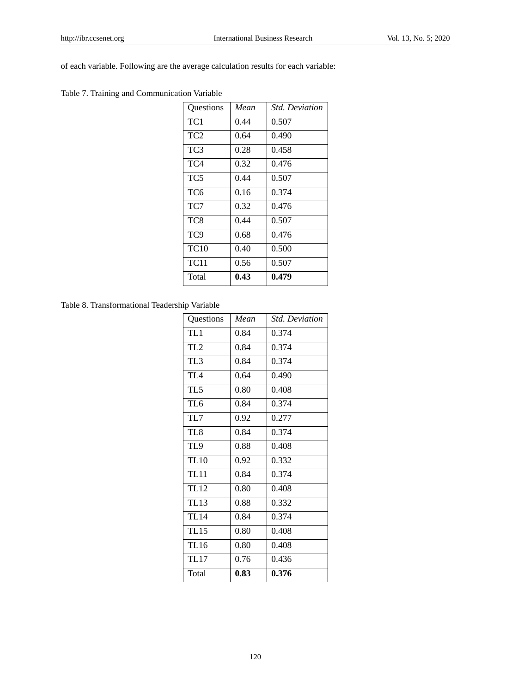of each variable. Following are the average calculation results for each variable:

|  |  |  | Table 7. Training and Communication Variable |  |
|--|--|--|----------------------------------------------|--|
|--|--|--|----------------------------------------------|--|

| <b>Ouestions</b> | Mean | <i>Std. Deviation</i> |
|------------------|------|-----------------------|
| TC1              | 0.44 | 0.507                 |
| TC <sub>2</sub>  | 0.64 | 0.490                 |
| TC3              | 0.28 | 0.458                 |
| TC4              | 0.32 | 0.476                 |
| TC <sub>5</sub>  | 0.44 | 0.507                 |
| TC6              | 0.16 | 0.374                 |
| TC7              | 0.32 | 0.476                 |
| TC8              | 0.44 | 0.507                 |
| TC9              | 0.68 | 0.476                 |
| <b>TC10</b>      | 0.40 | 0.500                 |
| <b>TC11</b>      | 0.56 | 0.507                 |
| Total            | 0.43 | 0.479                 |

Table 8. Transformational Teadership Variable

| Questions       | Mean | <i>Std. Deviation</i> |
|-----------------|------|-----------------------|
| TL1             | 0.84 | 0.374                 |
| TL <sub>2</sub> | 0.84 | 0.374                 |
| TL3             | 0.84 | 0.374                 |
| TL <sub>4</sub> | 0.64 | 0.490                 |
| TL <sub>5</sub> | 0.80 | 0.408                 |
| TL <sub>6</sub> | 0.84 | 0.374                 |
| TL7             | 0.92 | 0.277                 |
| TL8             | 0.84 | 0.374                 |
| TL9             | 0.88 | 0.408                 |
| <b>TL10</b>     | 0.92 | 0.332                 |
| <b>TL11</b>     | 0.84 | 0.374                 |
| <b>TL12</b>     | 0.80 | 0.408                 |
| <b>TL13</b>     | 0.88 | 0.332                 |
| <b>TL14</b>     | 0.84 | 0.374                 |
| <b>TL15</b>     | 0.80 | 0.408                 |
| <b>TL16</b>     | 0.80 | 0.408                 |
| <b>TL17</b>     | 0.76 | 0.436                 |
| Total           | 0.83 | 0.376                 |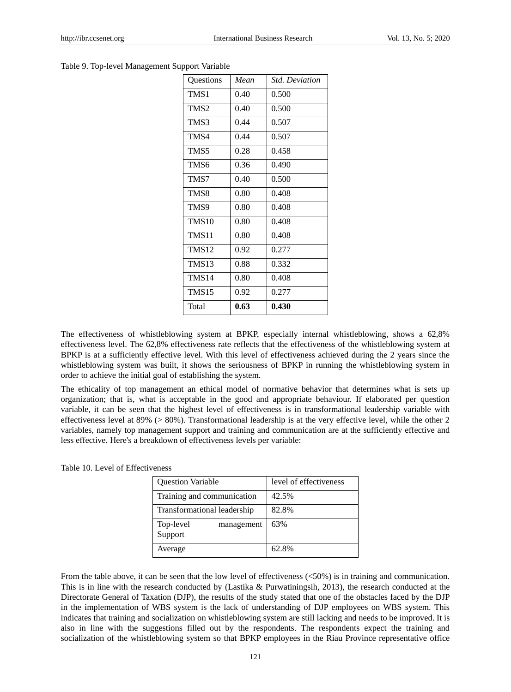|  | Table 9. Top-level Management Support Variable |  |
|--|------------------------------------------------|--|
|  |                                                |  |

| Questions         | Mean | <i>Std. Deviation</i> |
|-------------------|------|-----------------------|
| TMS1              | 0.40 | 0.500                 |
| TMS2              | 0.40 | 0.500                 |
| TMS3              | 0.44 | 0.507                 |
| TMS4              | 0.44 | 0.507                 |
| TMS5              | 0.28 | 0.458                 |
| TMS6              | 0.36 | 0.490                 |
| TMS7              | 0.40 | 0.500                 |
| TMS8              | 0.80 | 0.408                 |
| TMS9              | 0.80 | 0.408                 |
| TMS <sub>10</sub> | 0.80 | 0.408                 |
| TMS <sub>11</sub> | 0.80 | 0.408                 |
| TMS <sub>12</sub> | 0.92 | 0.277                 |
| TMS13             | 0.88 | 0.332                 |
| TMS14             | 0.80 | 0.408                 |
| <b>TMS15</b>      | 0.92 | 0.277                 |
| Total             | 0.63 | 0.430                 |

The effectiveness of whistleblowing system at BPKP, especially internal whistleblowing, shows a 62,8% effectiveness level. The 62,8% effectiveness rate reflects that the effectiveness of the whistleblowing system at BPKP is at a sufficiently effective level. With this level of effectiveness achieved during the 2 years since the whistleblowing system was built, it shows the seriousness of BPKP in running the whistleblowing system in order to achieve the initial goal of establishing the system.

The ethicality of top management an ethical model of normative behavior that determines what is sets up organization; that is, what is acceptable in the good and appropriate behaviour. If elaborated per question variable, it can be seen that the highest level of effectiveness is in transformational leadership variable with effectiveness level at 89% (> 80%). Transformational leadership is at the very effective level, while the other 2 variables, namely top management support and training and communication are at the sufficiently effective and less effective. Here's a breakdown of effectiveness levels per variable:

| <b>Question Variable</b>           | level of effectiveness |
|------------------------------------|------------------------|
| Training and communication         | 42.5%                  |
| Transformational leadership        | 82.8%                  |
| Top-level<br>management<br>Support | 63%                    |
| Average                            | 62.8%                  |

From the table above, it can be seen that the low level of effectiveness ( $\langle 50\% \rangle$ ) is in training and communication. This is in line with the research conducted by (Lastika & Purwatiningsih, 2013), the research conducted at the Directorate General of Taxation (DJP), the results of the study stated that one of the obstacles faced by the DJP in the implementation of WBS system is the lack of understanding of DJP employees on WBS system. This indicates that training and socialization on whistleblowing system are still lacking and needs to be improved. It is also in line with the suggestions filled out by the respondents. The respondents expect the training and socialization of the whistleblowing system so that BPKP employees in the Riau Province representative office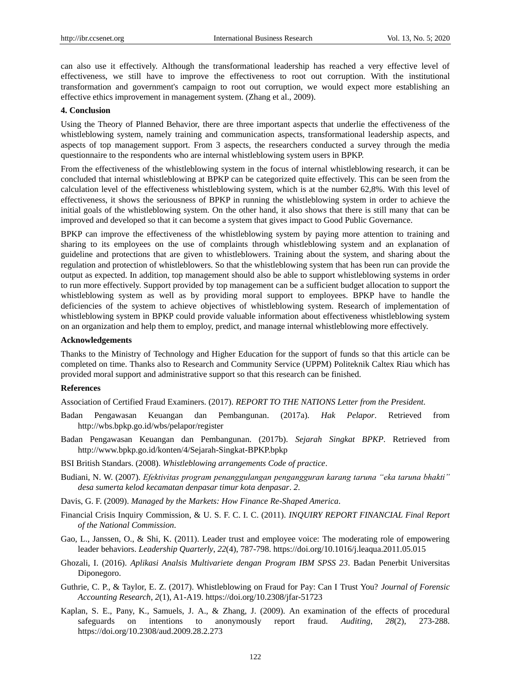can also use it effectively. Although the transformational leadership has reached a very effective level of effectiveness, we still have to improve the effectiveness to root out corruption. With the institutional transformation and government's campaign to root out corruption, we would expect more establishing an effective ethics improvement in management system. (Zhang et al., 2009).

#### **4. Conclusion**

Using the Theory of Planned Behavior, there are three important aspects that underlie the effectiveness of the whistleblowing system, namely training and communication aspects, transformational leadership aspects, and aspects of top management support. From 3 aspects, the researchers conducted a survey through the media questionnaire to the respondents who are internal whistleblowing system users in BPKP.

From the effectiveness of the whistleblowing system in the focus of internal whistleblowing research, it can be concluded that internal whistleblowing at BPKP can be categorized quite effectively. This can be seen from the calculation level of the effectiveness whistleblowing system, which is at the number 62,8%. With this level of effectiveness, it shows the seriousness of BPKP in running the whistleblowing system in order to achieve the initial goals of the whistleblowing system. On the other hand, it also shows that there is still many that can be improved and developed so that it can become a system that gives impact to Good Public Governance.

BPKP can improve the effectiveness of the whistleblowing system by paying more attention to training and sharing to its employees on the use of complaints through whistleblowing system and an explanation of guideline and protections that are given to whistleblowers. Training about the system, and sharing about the regulation and protection of whistleblowers. So that the whistleblowing system that has been run can provide the output as expected. In addition, top management should also be able to support whistleblowing systems in order to run more effectively. Support provided by top management can be a sufficient budget allocation to support the whistleblowing system as well as by providing moral support to employees. BPKP have to handle the deficiencies of the system to achieve objectives of whistleblowing system. Research of implementation of whistleblowing system in BPKP could provide valuable information about effectiveness whistleblowing system on an organization and help them to employ, predict, and manage internal whistleblowing more effectively.

#### **Acknowledgements**

Thanks to the Ministry of Technology and Higher Education for the support of funds so that this article can be completed on time. Thanks also to Research and Community Service (UPPM) Politeknik Caltex Riau which has provided moral support and administrative support so that this research can be finished.

#### **References**

Association of Certified Fraud Examiners. (2017). *REPORT TO THE NATIONS Letter from the President*.

- Badan Pengawasan Keuangan dan Pembangunan. (2017a). *Hak Pelapor*. Retrieved from http://wbs.bpkp.go.id/wbs/pelapor/register
- Badan Pengawasan Keuangan dan Pembangunan. (2017b). *Sejarah Singkat BPKP*. Retrieved from http://www.bpkp.go.id/konten/4/Sejarah-Singkat-BPKP.bpkp
- BSI British Standars. (2008). *Whistleblowing arrangements Code of practice*.
- Budiani, N. W. (2007). *Efektivitas program penanggulangan pengangguran karang taruna "eka taruna bhakti" desa sumerta kelod kecamatan denpasar timur kota denpasar*. *2*.
- Davis, G. F. (2009). *Managed by the Markets: How Finance Re-Shaped America*.
- Financial Crisis Inquiry Commission, & U. S. F. C. I. C. (2011). *INQUIRY REPORT FINANCIAL Final Report of the National Commission*.
- Gao, L., Janssen, O., & Shi, K. (2011). Leader trust and employee voice: The moderating role of empowering leader behaviors. *Leadership Quarterly*, *22*(4), 787-798. https://doi.org/10.1016/j.leaqua.2011.05.015
- Ghozali, I. (2016). *Aplikasi Analsis Multivariete dengan Program IBM SPSS 23*. Badan Penerbit Universitas Diponegoro.
- Guthrie, C. P., & Taylor, E. Z. (2017). Whistleblowing on Fraud for Pay: Can I Trust You? *Journal of Forensic Accounting Research*, *2*(1), A1-A19. https://doi.org/10.2308/jfar-51723
- Kaplan, S. E., Pany, K., Samuels, J. A., & Zhang, J. (2009). An examination of the effects of procedural safeguards on intentions to anonymously report fraud. *Auditing*, *28*(2), 273-288. https://doi.org/10.2308/aud.2009.28.2.273